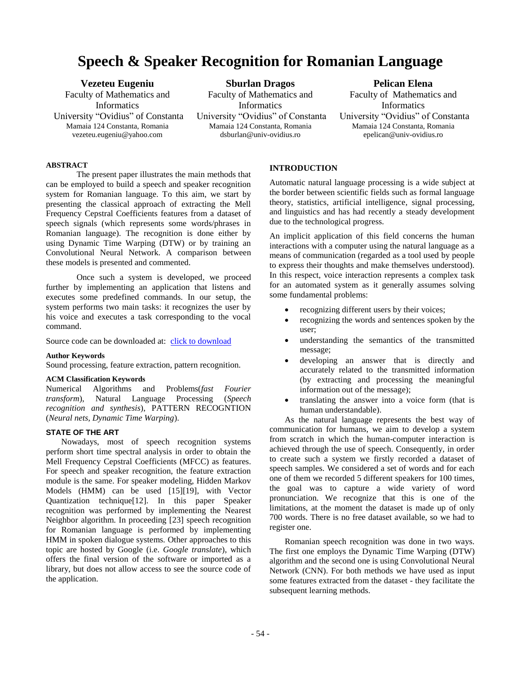# **Speech & Speaker Recognition for Romanian Language**

**Vezeteu Eugeniu** Faculty of Mathematics and Informatics University "Ovidius" of Constanta Mamaia 124 Constanta, Romania vezeteu.eugeniu@yahoo.com

**Sburlan Dragos** Faculty of Mathematics and Informatics University "Ovidius" of Constanta Mamaia 124 Constanta, Romania dsburlan@univ-ovidius.ro

# **Pelican Elena**

Faculty of Mathematics and Informatics University "Ovidius" of Constanta Mamaia 124 Constanta, Romania epelican@univ-ovidius.ro

# **ABSTRACT**

The present paper illustrates the main methods that can be employed to build a speech and speaker recognition system for Romanian language. To this aim, we start by presenting the classical approach of extracting the Mell Frequency Cepstral Coefficients features from a dataset of speech signals (which represents some words/phrases in Romanian language). The recognition is done either by using Dynamic Time Warping (DTW) or by training an Convolutional Neural Network. A comparison between these models is presented and commented.

Once such a system is developed, we proceed further by implementing an application that listens and executes some predefined commands. In our setup, the system performs two main tasks: it recognizes the user by his voice and executes a task corresponding to the vocal command.

Source code can be downloaded at: [click to download](https://drive.google.com/drive/folders/1WD_Wa_GfoWs00cbyQwHPVtYVUNf5x4Gi)

## **Author Keywords**

Sound processing, feature extraction, pattern recognition.

#### **ACM Classification Keywords**

Numerical Algorithms and Problems(*fast Fourier transform*), Natural Language Processing (*Speech recognition and synthesis*), PATTERN RECOGNTION (*Neural nets, Dynamic Time Warping*).

## **STATE OF THE ART**

Nowadays, most of speech recognition systems perform short time spectral analysis in order to obtain the Mell Frequency Cepstral Coefficients (MFCC) as features. For speech and speaker recognition, the feature extraction module is the same. For speaker modeling, Hidden Markov Models (HMM) can be used [15][19], with Vector Quantization technique[12]. In this paper Speaker recognition was performed by implementing the Nearest Neighbor algorithm. In proceeding [23] speech recognition for Romanian language is performed by implementing HMM in spoken dialogue systems. Other approaches to this topic are hosted by Google (i.e. *Google translate*), which offers the final version of the software or imported as a library, but does not allow access to see the source code of the application.

## **INTRODUCTION**

Automatic natural language processing is a wide subject at the border between scientific fields such as formal language theory, statistics, artificial intelligence, signal processing, and linguistics and has had recently a steady development due to the technological progress.

An implicit application of this field concerns the human interactions with a computer using the natural language as a means of communication (regarded as a tool used by people to express their thoughts and make themselves understood). In this respect, voice interaction represents a complex task for an automated system as it generally assumes solving some fundamental problems:

- recognizing different users by their voices;
- recognizing the words and sentences spoken by the user;
- understanding the semantics of the transmitted message;
- developing an answer that is directly and accurately related to the transmitted information (by extracting and processing the meaningful information out of the message);
- translating the answer into a voice form (that is human understandable).

As the natural language represents the best way of communication for humans, we aim to develop a system from scratch in which the human-computer interaction is achieved through the use of speech. Consequently, in order to create such a system we firstly recorded a dataset of speech samples. We considered a set of words and for each one of them we recorded 5 different speakers for 100 times, the goal was to capture a wide variety of word pronunciation. We recognize that this is one of the limitations, at the moment the dataset is made up of only 700 words. There is no free dataset available, so we had to register one.

Romanian speech recognition was done in two ways. The first one employs the Dynamic Time Warping (DTW) algorithm and the second one is using Convolutional Neural Network (CNN). For both methods we have used as input some features extracted from the dataset - they facilitate the subsequent learning methods.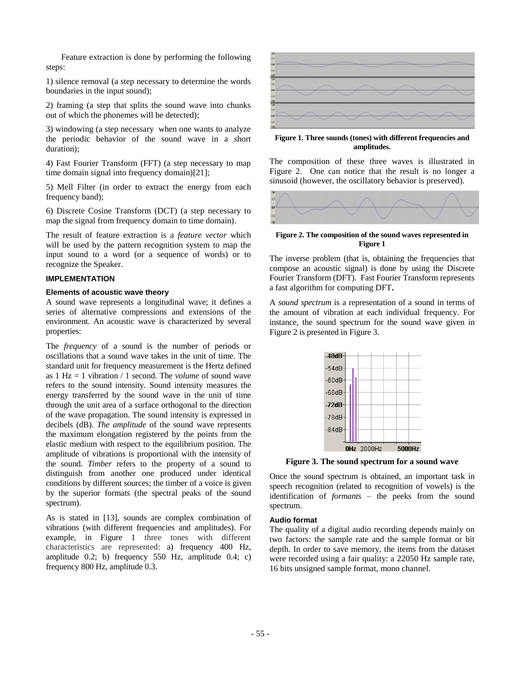Feature extraction is done by performing the following steps:

1) silence removal (a step necessary to determine the words boundaries in the input sound);

2) framing (a step that splits the sound wave into chunks out of which the phonemes will be detected);

3) windowing (a step necessary when one wants to analyze the periodic behavior of the sound wave in a short duration);

4) Fast Fourier Transform (FFT) (a step necessary to map time domain signal into frequency domain)[21];

5) Mell Filter (in order to extract the energy from each frequency band);

6) Discrete Cosine Transform (DCT) (a step necessary to map the signal from frequency domain to time domain).

The result of feature extraction is a *feature vector* which will be used by the pattern recognition system to map the input sound to a word (or a sequence of words) or to recognize the Speaker.

## **IMPLEMENTATION**

#### **Elements of acoustic wave theory**

A sound wave represents a longitudinal wave; it defines a series of alternative compressions and extensions of the environment. An acoustic wave is characterized by several properties:

The *frequency* of a sound is the number of periods or oscillations that a sound wave takes in the unit of time. The standard unit for frequency measurement is the Hertz defined as 1 Hz = 1 vibration / 1 second. The *volume* of sound wave refers to the sound intensity. Sound intensity measures the energy transferred by the sound wave in the unit of time through the unit area of a surface orthogonal to the direction of the wave propagation. The sound intensity is expressed in decibels (dB). *The amplitude* of the sound wave represents the maximum elongation registered by the points from the elastic medium with respect to the equilibrium position. The amplitude of vibrations is proportional with the intensity of the sound. *Timber* refers to the property of a sound to distinguish from another one produced under identical conditions by different sources; the timber of a voice is given by the superior formats (the spectral peaks of the sound spectrum).

As is stated in [13], sounds are complex combination of vibrations (with different frequencies and amplitudes). For example, in Figure 1 three tones with different characteristics are represented: a) frequency 400 Hz, amplitude 0.2; b) frequency 550 Hz, amplitude 0.4; c) frequency 800 Hz, amplitude 0.3.



**Figure 1. Three sounds (tones) with different frequencies and amplitudes.**

The composition of these three waves is illustrated in Figure 2. One can notice that the result is no longer a sinusoid (however, the oscillatory behavior is preserved).



## **Figure 2. The composition of the sound waves represented in Figure 1**

The inverse problem (that is, obtaining the frequencies that compose an acoustic signal) is done by using the Discrete Fourier Transform (DFT). Fast Fourier Transform represents a fast algorithm for computing DFT**.**

A *sound spectrum* is a representation of a sound in terms of the amount of vibration at each individual frequency. For instance, the sound spectrum for the sound wave given in Figure 2 is presented in Figure 3.



**Figure 3. The sound spectrum for a sound wave**

Once the sound spectrum is obtained, an important task in speech recognition (related to recognition of vowels) is the identification of *formants* – the peeks from the sound spectrum.

## **Audio format**

The quality of a digital audio recording depends mainly on two factors: the sample rate and the sample format or bit depth. In order to save memory, the items from the dataset were recorded using a fair quality: a 22050 Hz sample rate, 16 bits unsigned sample format, mono channel.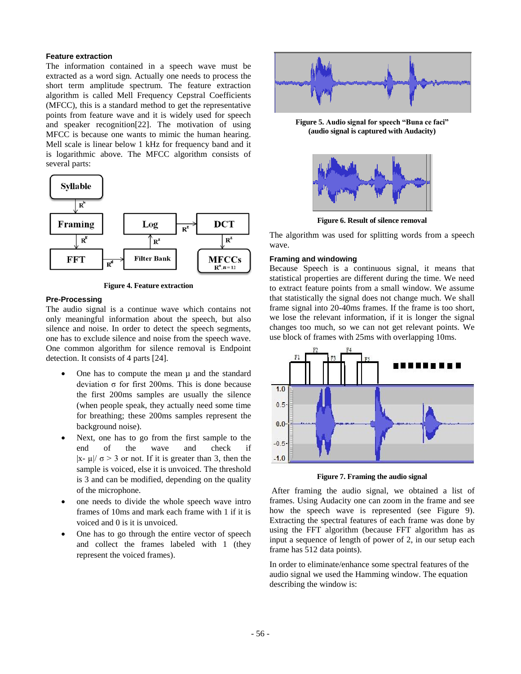## **Feature extraction**

The information contained in a speech wave must be extracted as a word sign. Actually one needs to process the short term amplitude spectrum. The feature extraction algorithm is called Mell Frequency Cepstral Coefficients (MFCC), this is a standard method to get the representative points from feature wave and it is widely used for speech and speaker recognition[22]. The motivation of using MFCC is because one wants to mimic the human hearing. Mell scale is linear below 1 kHz for frequency band and it is logarithmic above. The MFCC algorithm consists of several parts:



**Figure 4. Feature extraction**

## **Pre-Processing**

The audio signal is a continue wave which contains not only meaningful information about the speech, but also silence and noise. In order to detect the speech segments, one has to exclude silence and noise from the speech wave. One common algorithm for silence removal is Endpoint detection. It consists of 4 parts [24].

- One has to compute the mean  $\mu$  and the standard deviation σ for first 200ms. This is done because the first 200ms samples are usually the silence (when people speak, they actually need some time for breathing; these 200ms samples represent the background noise).
- Next, one has to go from the first sample to the end of the wave and check if |x-  $\mu$ |/  $\sigma$  > 3 or not. If it is greater than 3, then the sample is voiced, else it is unvoiced. The threshold is 3 and can be modified, depending on the quality of the microphone.
- one needs to divide the whole speech wave intro frames of 10ms and mark each frame with 1 if it is voiced and 0 is it is unvoiced.
- One has to go through the entire vector of speech and collect the frames labeled with 1 (they represent the voiced frames).



**Figure 5. Audio signal for speech "Buna ce faci" (audio signal is captured with Audacity)**



**Figure 6. Result of silence removal**

The algorithm was used for splitting words from a speech wave.

### **Framing and windowing**

Because Speech is a continuous signal, it means that statistical properties are different during the time. We need to extract feature points from a small window. We assume that statistically the signal does not change much. We shall frame signal into 20-40ms frames. If the frame is too short, we lose the relevant information, if it is longer the signal changes too much, so we can not get relevant points. We use block of frames with 25ms with overlapping 10ms.



**Figure 7. Framing the audio signal**

After framing the audio signal, we obtained a list of frames. Using Audacity one can zoom in the frame and see how the speech wave is represented (see Figure 9). Extracting the spectral features of each frame was done by using the FFT algorithm (because FFT algorithm has as input a sequence of length of power of 2, in our setup each frame has 512 data points).

In order to eliminate/enhance some spectral features of the audio signal we used the Hamming window. The equation describing the window is: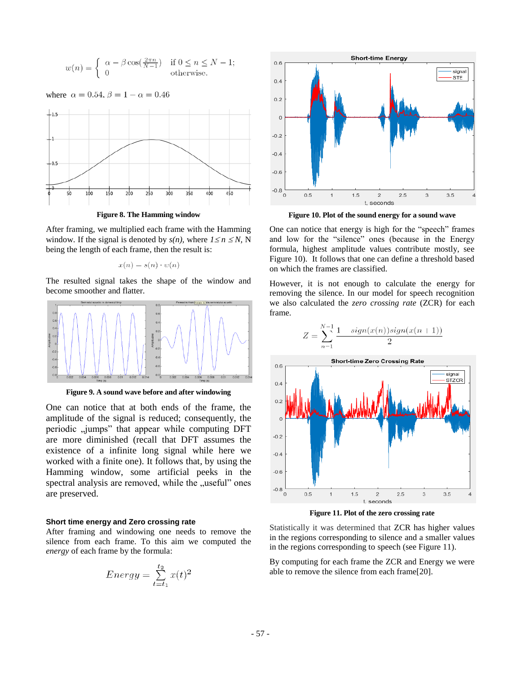$$
w(n) = \begin{cases} \alpha - \beta \cos(\frac{2\pi n}{N-1}) & \text{if } 0 \le n \le N-1; \\ 0 & \text{otherwise.} \end{cases}
$$



**Figure 8. The Hamming window**

After framing, we multiplied each frame with the Hamming window. If the signal is denoted by  $s(n)$ , where  $1 \le n \le N$ , N being the length of each frame, then the result is:

$$
x(n) = s(n) \cdot w(n)
$$

The resulted signal takes the shape of the window and become smoother and flatter.



**Figure 9. A sound wave before and after windowing**

One can notice that at both ends of the frame, the amplitude of the signal is reduced; consequently, the periodic "jumps" that appear while computing DFT are more diminished (recall that DFT assumes the existence of a infinite long signal while here we worked with a finite one). It follows that, by using the Hamming window, some artificial peeks in the spectral analysis are removed, while the "useful" ones are preserved.

#### **Short time energy and Zero crossing rate**

After framing and windowing one needs to remove the silence from each frame. To this aim we computed the *energy* of each frame by the formula:

$$
Energy = \sum_{t=t_1}^{t_2} x(t)^2
$$



**Figure 10. Plot of the sound energy for a sound wave**

One can notice that energy is high for the "speech" frames and low for the "silence" ones (because in the Energy formula, highest amplitude values contribute mostly, see Figure 10). It follows that one can define a threshold based on which the frames are classified.

However, it is not enough to calculate the energy for removing the silence. In our model for speech recognition we also calculated the *zero crossing rate* (ZCR) for each frame.



**Figure 11. Plot of the zero crossing rate**

Statistically it was determined that ZCR has higher values in the regions corresponding to silence and a smaller values in the regions corresponding to speech (see Figure 11).

By computing for each frame the ZCR and Energy we were able to remove the silence from each frame[20].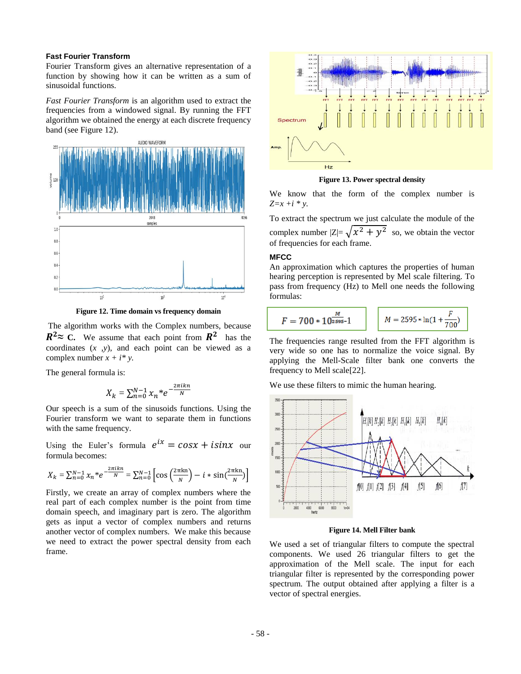## **Fast Fourier Transform**

Fourier Transform gives an alternative representation of a function by showing how it can be written as a sum of sinusoidal functions.

*Fast Fourier Transform* is an algorithm used to extract the frequencies from a windowed signal. By running the FFT algorithm we obtained the energy at each discrete frequency band (see Figure 12).



**Figure 12. Time domain vs frequency domain**

The algorithm works with the Complex numbers, because  $R^2 \approx C$ . We assume that each point from  $R^2$  has the coordinates (*x ,y*), and each point can be viewed as a complex number  $x + i^* y$ .

The general formula is:

$$
X_k = \sum_{n=0}^{N-1} x_n^* e^{-\frac{2\pi i k n}{N}}
$$

Our speech is a sum of the sinusoids functions. Using the Fourier transform we want to separate them in functions with the same frequency.

Using the Euler's formula  $e^{ix} = \cos x + i \sin x$  our formula becomes:

$$
X_k = \sum_{n=0}^{N-1} x_n^* e^{-\frac{2\pi i k n}{N}} = \sum_{n=0}^{N-1} \left[ \cos \left( \frac{2\pi k n}{N} \right) - i * \sin \left( \frac{2\pi k n}{N} \right) \right]
$$

Firstly, we create an array of complex numbers where the real part of each complex number is the point from time domain speech, and imaginary part is zero. The algorithm gets as input a vector of complex numbers and returns another vector of complex numbers. We make this because we need to extract the power spectral density from each frame.



**Figure 13. Power spectral density**

We know that the form of the complex number is  $Z=x + i * y$ .

To extract the spectrum we just calculate the module of the complex number  $|Z| = \sqrt{x^2 + y^2}$  so, we obtain the vector of frequencies for each frame.

# **MFCC**

An approximation which captures the properties of human hearing perception is represented by Mel scale filtering. To pass from frequency (Hz) to Mell one needs the following formulas:

$$
F = 700 * 10^{\frac{M}{2595}} - 1
$$
  $M = 2595 * \ln(1 + \frac{F}{700})$ 

The frequencies range resulted from the FFT algorithm is very wide so one has to normalize the voice signal. By applying the Mell-Scale filter bank one converts the frequency to Mell scale[22].

We use these filters to mimic the human hearing.



**Figure 14. Mell Filter bank**

We used a set of triangular filters to compute the spectral components. We used 26 triangular filters to get the approximation of the Mell scale. The input for each triangular filter is represented by the corresponding power spectrum. The output obtained after applying a filter is a vector of spectral energies.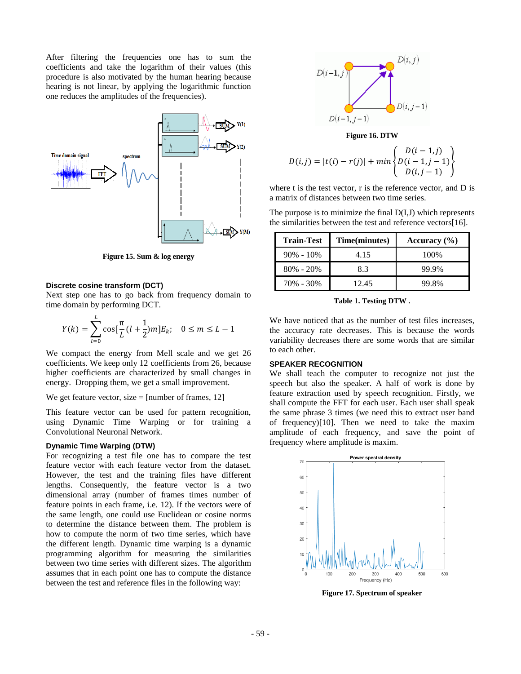After filtering the frequencies one has to sum the coefficients and take the logarithm of their values (this procedure is also motivated by the human hearing because hearing is not linear, by applying the logarithmic function one reduces the amplitudes of the frequencies).



**Figure 15. Sum & log energy**

#### **Discrete cosine transform (DCT)**

Next step one has to go back from frequency domain to time domain by performing DCT.

$$
Y(k) = \sum_{l=0}^{L} \cos[\frac{\pi}{L}(l+\frac{1}{2})m]E_k; \quad 0 \le m \le L-1
$$

We compact the energy from Mell scale and we get 26 coefficients. We keep only 12 coefficients from 26, because higher coefficients are characterized by small changes in energy. Dropping them, we get a small improvement.

We get feature vector, size  $=$  [number of frames, 12]

This feature vector can be used for pattern recognition, using Dynamic Time Warping or for training a Convolutional Neuronal Network.

## **Dynamic Time Warping (DTW)**

For recognizing a test file one has to compare the test feature vector with each feature vector from the dataset. However, the test and the training files have different lengths. Consequently, the feature vector is a two dimensional array (number of frames times number of feature points in each frame, i.e. 12). If the vectors were of the same length, one could use Euclidean or cosine norms to determine the distance between them. The problem is how to compute the norm of two time series, which have the different length. Dynamic time warping is a dynamic programming algorithm for measuring the similarities between two time series with different sizes. The algorithm assumes that in each point one has to compute the distance between the test and reference files in the following way:



**Figure 16. DTW**

$$
D(i,j) = |t(i) - r(j)| + min \begin{Bmatrix} D(i-1,j) \\ D(i-1,j-1) \\ D(i,j-1) \end{Bmatrix}
$$

where t is the test vector, r is the reference vector, and D is a matrix of distances between two time series.

The purpose is to minimize the final D(I,J) which represents the similarities between the test and reference vectors[16].

| <b>Train-Test</b> | Time(minutes) | Accuracy $(\% )$ |  |
|-------------------|---------------|------------------|--|
| $90\% - 10\%$     | 4.15          | 100%             |  |
| $80\% - 20\%$     | 8.3           | 99.9%            |  |
| 70% - 30%         | 12.45         | 99.8%            |  |

**Table 1. Testing DTW .**

We have noticed that as the number of test files increases, the accuracy rate decreases. This is because the words variability decreases there are some words that are similar to each other.

## **SPEAKER RECOGNITION**

We shall teach the computer to recognize not just the speech but also the speaker. A half of work is done by feature extraction used by speech recognition. Firstly, we shall compute the FFT for each user. Each user shall speak the same phrase 3 times (we need this to extract user band of frequency)[10]. Then we need to take the maxim amplitude of each frequency, and save the point of frequency where amplitude is maxim.



**Figure 17. Spectrum of speaker**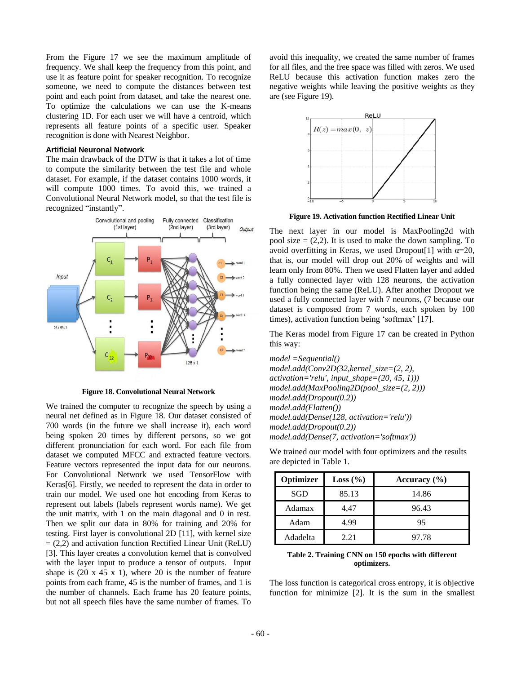From the Figure 17 we see the maximum amplitude of frequency. We shall keep the frequency from this point, and use it as feature point for speaker recognition. To recognize someone, we need to compute the distances between test point and each point from dataset, and take the nearest one. To optimize the calculations we can use the K-means clustering 1D. For each user we will have a centroid, which represents all feature points of a specific user. Speaker recognition is done with Nearest Neighbor.

## **Artificial Neuronal Network**

The main drawback of the DTW is that it takes a lot of time to compute the similarity between the test file and whole dataset. For example, if the dataset contains 1000 words, it will compute 1000 times. To avoid this, we trained a Convolutional Neural Network model, so that the test file is recognized "instantly".



**Figure 18. Convolutional Neural Network**

We trained the computer to recognize the speech by using a neural net defined as in Figure 18. Our dataset consisted of 700 words (in the future we shall increase it), each word being spoken 20 times by different persons, so we got different pronunciation for each word. For each file from dataset we computed MFCC and extracted feature vectors. Feature vectors represented the input data for our neurons. For Convolutional Network we used TensorFlow with Keras[6]. Firstly, we needed to represent the data in order to train our model. We used one hot encoding from Keras to represent out labels (labels represent words name). We get the unit matrix, with 1 on the main diagonal and 0 in rest. Then we split our data in 80% for training and 20% for testing. First layer is convolutional 2D [11], with kernel size  $= (2,2)$  and activation function Rectified Linear Unit (ReLU) [3]. This layer creates a convolution kernel that is convolved with the layer input to produce a tensor of outputs. Input shape is  $(20 \times 45 \times 1)$ , where 20 is the number of feature points from each frame, 45 is the number of frames, and 1 is the number of channels. Each frame has 20 feature points, but not all speech files have the same number of frames. To

avoid this inequality, we created the same number of frames for all files, and the free space was filled with zeros. We used ReLU because this activation function makes zero the negative weights while leaving the positive weights as they are (see Figure 19).



**Figure 19. Activation function Rectified Linear Unit**

The next layer in our model is MaxPooling2d with pool size  $= (2,2)$ . It is used to make the down sampling. To avoid overfitting in Keras, we used Dropout<sup>[1]</sup> with  $\alpha=20$ , that is, our model will drop out 20% of weights and will learn only from 80%. Then we used Flatten layer and added a fully connected layer with 128 neurons, the activation function being the same (ReLU). After another Dropout we used a fully connected layer with 7 neurons, (7 because our dataset is composed from 7 words, each spoken by 100 times), activation function being 'softmax' [17].

The Keras model from Figure 17 can be created in Python this way:

*model =Sequential() model.add(Conv2D(32,kernel\_size=(2, 2), activation='relu', input\_shape=(20, 45, 1))) model.add(MaxPooling2D(pool\_size=(2, 2))) model.add(Dropout(0.2)) model.add(Flatten()) model.add(Dense(128, activation='relu')) model.add(Dropout(0.2)) model.add(Dense(7, activation='softmax'))*

We trained our model with four optimizers and the results are depicted in Table 1.

| Optimizer | Loss (%) | Accuracy $(\% )$ |  |
|-----------|----------|------------------|--|
| SGD       | 85.13    | 14.86            |  |
| Adamax    | 4,47     | 96.43            |  |
| Adam      | 4.99     | 95               |  |
| Adadelta  | 2.21     | 97.78            |  |

#### **Table 2. Training CNN on 150 epochs with different optimizers.**

The loss function is categorical cross entropy, it is objective function for minimize [2]. It is the sum in the smallest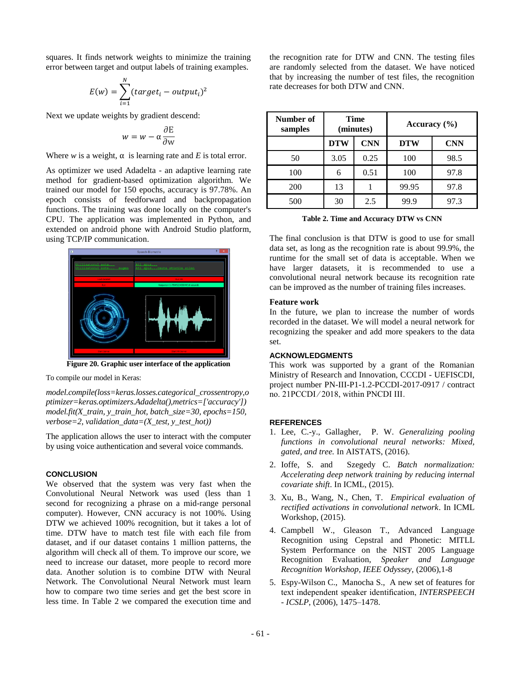squares. It finds network weights to minimize the training error between target and output labels of training examples.

$$
E(w) = \sum_{i=1}^{N} (target_i - output_i)^2
$$

Next we update weights by gradient descend:

$$
w = w - \alpha \frac{\partial E}{\partial w}
$$

Where *w* is a weight,  $\alpha$  is learning rate and *E* is total error.

As optimizer we used Adadelta - an adaptive learning rate method for gradient-based optimization algorithm. We trained our model for 150 epochs, accuracy is 97.78%. An epoch consists of feedforward and backpropagation functions. The training was done locally on the computer's CPU. The application was implemented in Python, and extended on android phone with Android Studio platform, using TCP/IP communication.



**Figure 20. Graphic user interface of the application**

To compile our model in Keras:

*model.compile(loss=keras.losses.categorical\_crossentropy,o ptimizer=keras.optimizers.Adadelta(),metrics=['accuracy']) model.fit(X\_train, y\_train\_hot, batch\_size=30, epochs=150, verbose=2, validation\_data=(X\_test, y\_test\_hot))*

The application allows the user to interact with the computer by using voice authentication and several voice commands.

## **CONCLUSION**

We observed that the system was very fast when the Convolutional Neural Network was used (less than 1 second for recognizing a phrase on a mid-range personal computer). However, CNN accuracy is not 100%. Using DTW we achieved 100% recognition, but it takes a lot of time. DTW have to match test file with each file from dataset, and if our dataset contains 1 million patterns, the algorithm will check all of them. To improve our score, we need to increase our dataset, more people to record more data. Another solution is to combine DTW with Neural Network. The Convolutional Neural Network must learn how to compare two time series and get the best score in less time. In Table 2 we compared the execution time and the recognition rate for DTW and CNN. The testing files are randomly selected from the dataset. We have noticed that by increasing the number of test files, the recognition rate decreases for both DTW and CNN.

| Number of<br>samples | Time<br>(minutes) |            | Accuracy $(\% )$ |            |
|----------------------|-------------------|------------|------------------|------------|
|                      | <b>DTW</b>        | <b>CNN</b> | <b>DTW</b>       | <b>CNN</b> |
| 50                   | 3.05              | 0.25       | 100              | 98.5       |
| 100                  | 6                 | 0.51       | 100              | 97.8       |
| 200                  | 13                |            | 99.95            | 97.8       |
| 500                  | 30                | 2.5        | 99.9             | 97.3       |

**Table 2. Time and Accuracy DTW vs CNN**

The final conclusion is that DTW is good to use for small data set, as long as the recognition rate is about 99.9%, the runtime for the small set of data is acceptable. When we have larger datasets, it is recommended to use a convolutional neural network because its recognition rate can be improved as the number of training files increases.

## **Feature work**

In the future, we plan to increase the number of words recorded in the dataset. We will model a neural network for recognizing the speaker and add more speakers to the data set.

## **ACKNOWLEDGMENTS**

This work was supported by a grant of the Romanian Ministry of Research and Innovation, CCCDI - UEFISCDI, project number PN-III-P1-1.2-PCCDI-2017-0917 / contract no. 21PCCDI ⁄ 2018, within PNCDI III.

## **REFERENCES**

- 1. Lee, C.-y., Gallagher, P. W. *Generalizing pooling functions in convolutional neural networks: Mixed, gated, and tree.* In AISTATS, (2016).
- 2. Ioffe, S. and Szegedy C. *Batch normalization: Accelerating deep network training by reducing internal covariate shift*. In ICML, (2015).
- 3. Xu, B., Wang, N., Chen, T. *Empirical evaluation of rectified activations in convolutional network*. In ICML Workshop, (2015).
- 4. Campbell W., Gleason T., Advanced Language Recognition using Cepstral and Phonetic: MITLL System Performance on the NIST 2005 Language Recognition Evaluation, *Speaker and Language Recognition Workshop, IEEE Odyssey,* (2006),1-8
- 5. Espy-Wilson C., Manocha S., A new set of features for text independent speaker identification, *INTERSPEECH - ICSLP*, (2006), 1475–1478.